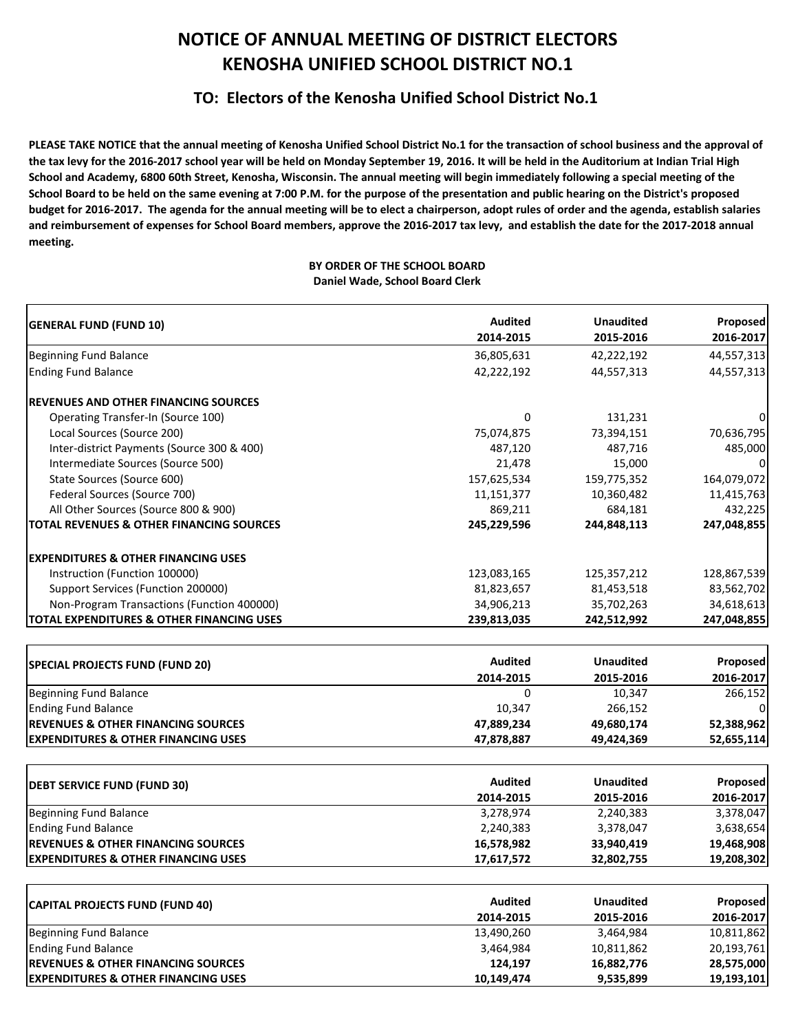## **NOTICE OF ANNUAL MEETING OF DISTRICT ELECTORS KENOSHA UNIFIED SCHOOL DISTRICT NO.1**

## **TO: Electors of the Kenosha Unified School District No.1**

PLEASE TAKE NOTICE that the annual meeting of Kenosha Unified School District No.1 for the transaction of school business and the approval of the tax levy for the 2016-2017 school year will be held on Monday September 19, 2016. It will be held in the Auditorium at Indian Trial High School and Academy, 6800 60th Street, Kenosha, Wisconsin. The annual meeting will begin immediately following a special meeting of the School Board to be held on the same evening at 7:00 P.M. for the purpose of the presentation and public hearing on the District's proposed budget for 2016-2017. The agenda for the annual meeting will be to elect a chairperson, adopt rules of order and the agenda, establish salaries and reimbursement of expenses for School Board members, approve the 2016-2017 tax levy, and establish the date for the 2017-2018 annual **meeting.**

## **BY ORDER OF THE SCHOOL BOARD Daniel Wade, School Board Clerk**

| <b>GENERAL FUND (FUND 10)</b>                       | <b>Audited</b> | <b>Unaudited</b> | Proposed               |
|-----------------------------------------------------|----------------|------------------|------------------------|
|                                                     | 2014-2015      | 2015-2016        | 2016-2017              |
| Beginning Fund Balance                              | 36,805,631     | 42,222,192       | 44,557,313             |
| <b>Ending Fund Balance</b>                          | 42,222,192     | 44,557,313       | 44,557,313             |
| <b>REVENUES AND OTHER FINANCING SOURCES</b>         |                |                  |                        |
| Operating Transfer-In (Source 100)                  | 0              | 131,231          |                        |
| Local Sources (Source 200)                          | 75,074,875     | 73,394,151       | 70,636,795             |
| Inter-district Payments (Source 300 & 400)          | 487,120        | 487,716          | 485,000                |
| Intermediate Sources (Source 500)                   | 21,478         | 15,000           |                        |
| State Sources (Source 600)                          | 157,625,534    | 159,775,352      | 164,079,072            |
| Federal Sources (Source 700)                        | 11,151,377     | 10,360,482       | 11,415,763             |
| All Other Sources (Source 800 & 900)                | 869,211        | 684,181          | 432,225                |
| <b>TOTAL REVENUES &amp; OTHER FINANCING SOURCES</b> | 245,229,596    | 244,848,113      | 247,048,855            |
| <b>EXPENDITURES &amp; OTHER FINANCING USES</b>      |                |                  |                        |
| Instruction (Function 100000)                       | 123,083,165    | 125,357,212      | 128,867,539            |
| Support Services (Function 200000)                  | 81,823,657     | 81,453,518       | 83,562,702             |
| Non-Program Transactions (Function 400000)          | 34,906,213     | 35,702,263       | 34,618,613             |
| TOTAL EXPENDITURES & OTHER FINANCING USES           | 239,813,035    | 242,512,992      | 247,048,855            |
|                                                     |                |                  |                        |
| <b>SPECIAL PROJECTS FUND (FUND 20)</b>              | <b>Audited</b> | <b>Unaudited</b> | Proposed               |
|                                                     | 2014-2015      | 2015-2016        | 2016-2017              |
| Beginning Fund Balance                              | 0              | 10,347           | 266,152                |
| <b>Ending Fund Balance</b>                          | 10,347         | 266,152          |                        |
| <b>REVENUES &amp; OTHER FINANCING SOURCES</b>       | 47,889,234     | 49,680,174       | 52,388,962             |
| <b>EXPENDITURES &amp; OTHER FINANCING USES</b>      | 47,878,887     | 49,424,369       | 52,655,114             |
|                                                     | <b>Audited</b> | <b>Unaudited</b> | Proposed               |
| <b>DEBT SERVICE FUND (FUND 30)</b>                  | 2014-2015      | 2015-2016        |                        |
| <b>Beginning Fund Balance</b>                       | 3,278,974      | 2,240,383        | 2016-2017<br>3,378,047 |
| <b>Ending Fund Balance</b>                          | 2,240,383      | 3,378,047        | 3,638,654              |
| <b>REVENUES &amp; OTHER FINANCING SOURCES</b>       |                |                  |                        |
| <b>EXPENDITURES &amp; OTHER FINANCING USES</b>      | 16,578,982     | 33,940,419       | 19,468,908             |
|                                                     | 17,617,572     | 32,802,755       | 19,208,302             |
| <b>CAPITAL PROJECTS FUND (FUND 40)</b>              | <b>Audited</b> | <b>Unaudited</b> | Proposed               |
|                                                     | 2014-2015      | 2015-2016        | 2016-2017              |
| <b>Beginning Fund Balance</b>                       | 13,490,260     | 3,464,984        | 10,811,862             |
| <b>Ending Fund Balance</b>                          | 3,464,984      | 10,811,862       | 20,193,761             |
| <b>REVENUES &amp; OTHER FINANCING SOURCES</b>       | 124,197        | 16,882,776       | 28,575,000             |
| <b>EXPENDITURES &amp; OTHER FINANCING USES</b>      | 10,149,474     | 9,535,899        | 19,193,101             |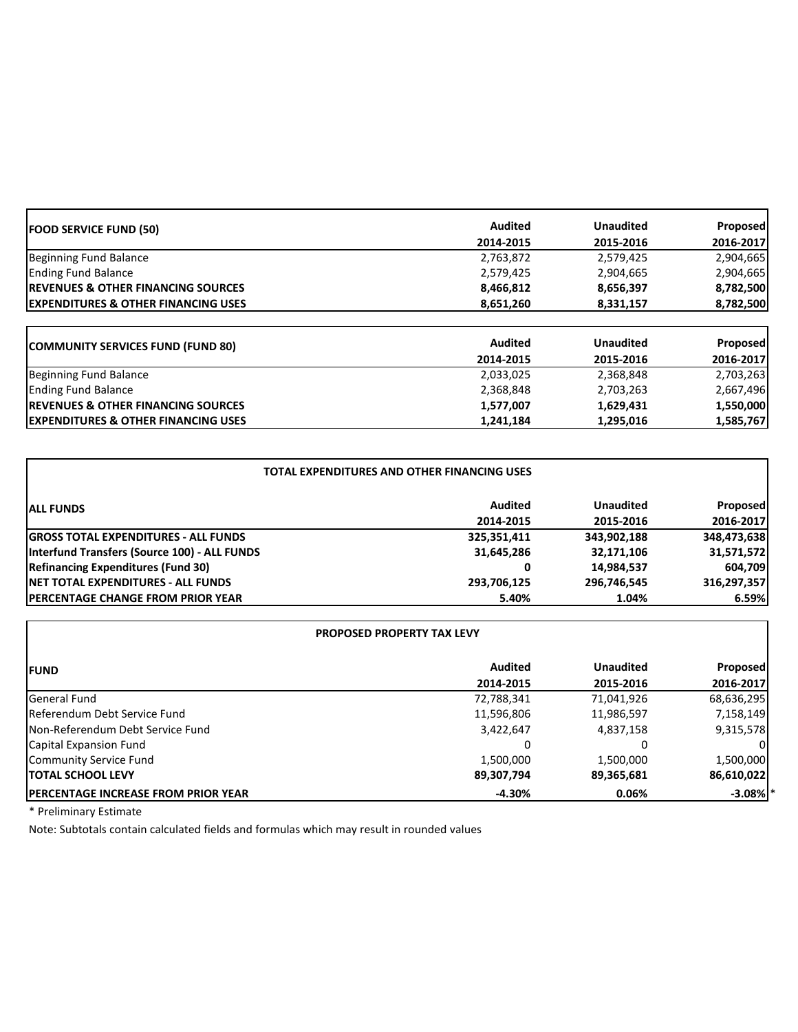| <b>FOOD SERVICE FUND (50)</b>                   | <b>Audited</b> | <b>Unaudited</b> | Proposed        |
|-------------------------------------------------|----------------|------------------|-----------------|
|                                                 | 2014-2015      | 2015-2016        | 2016-2017       |
| Beginning Fund Balance                          | 2,763,872      | 2,579,425        | 2,904,665       |
| <b>Ending Fund Balance</b>                      | 2,579,425      | 2,904,665        | 2,904,665       |
| <b>IREVENUES &amp; OTHER FINANCING SOURCES</b>  | 8,466,812      | 8,656,397        | 8,782,500       |
| <b>IEXPENDITURES &amp; OTHER FINANCING USES</b> | 8,651,260      | 8,331,157        | 8,782,500       |
|                                                 |                |                  |                 |
| <b>COMMUNITY SERVICES FUND (FUND 80)</b>        | <b>Audited</b> | <b>Unaudited</b> | <b>Proposed</b> |
|                                                 | 2014-2015      | 2015-2016        | 2016-2017       |
| Beginning Fund Balance                          | 2,033,025      | 2,368,848        | 2,703,263       |
| <b>Ending Fund Balance</b>                      | 2,368,848      | 2,703,263        | 2,667,496       |
| <b>IREVENUES &amp; OTHER FINANCING SOURCES</b>  | 1,577,007      | 1,629,431        | 1,550,000       |
| <b>IEXPENDITURES &amp; OTHER FINANCING USES</b> | 1,241,184      | 1,295,016        | 1,585,767       |

| <b>TOTAL EXPENDITURES AND OTHER FINANCING USES</b> |             |                  |                 |  |
|----------------------------------------------------|-------------|------------------|-----------------|--|
| <b>ALL FUNDS</b>                                   | Audited     | <b>Unaudited</b> | <b>Proposed</b> |  |
|                                                    | 2014-2015   | 2015-2016        | 2016-2017       |  |
| <b>GROSS TOTAL EXPENDITURES - ALL FUNDS</b>        | 325,351,411 | 343,902,188      | 348,473,638     |  |
| Interfund Transfers (Source 100) - ALL FUNDS       | 31,645,286  | 32,171,106       | 31,571,572      |  |
| <b>Refinancing Expenditures (Fund 30)</b>          | 0           | 14,984,537       | 604,709         |  |
| <b>INET TOTAL EXPENDITURES - ALL FUNDS</b>         | 293,706,125 | 296,746,545      | 316,297,357     |  |
| <b>IPERCENTAGE CHANGE FROM PRIOR YEAR</b>          | 5.40%       | 1.04%            | 6.59%           |  |

| <b>PROPOSED PROPERTY TAX LEVY</b>           |                |                  |                 |
|---------------------------------------------|----------------|------------------|-----------------|
| <b>IFUND</b>                                | <b>Audited</b> | <b>Unaudited</b> | <b>Proposed</b> |
|                                             | 2014-2015      | 2015-2016        | 2016-2017       |
| General Fund                                | 72,788,341     | 71,041,926       | 68,636,295      |
| Referendum Debt Service Fund                | 11,596,806     | 11,986,597       | 7,158,149       |
| Non-Referendum Debt Service Fund            | 3,422,647      | 4,837,158        | 9,315,578       |
| Capital Expansion Fund                      |                |                  |                 |
| <b>Community Service Fund</b>               | 1,500,000      | 1,500,000        | 1,500,000       |
| <b>ITOTAL SCHOOL LEVY</b>                   | 89,307,794     | 89,365,681       | 86,610,022      |
| <b>IPERCENTAGE INCREASE FROM PRIOR YEAR</b> | $-4.30%$       | 0.06%            | $-3.08\%$ *     |

\* Preliminary Estimate

Note: Subtotals contain calculated fields and formulas which may result in rounded values